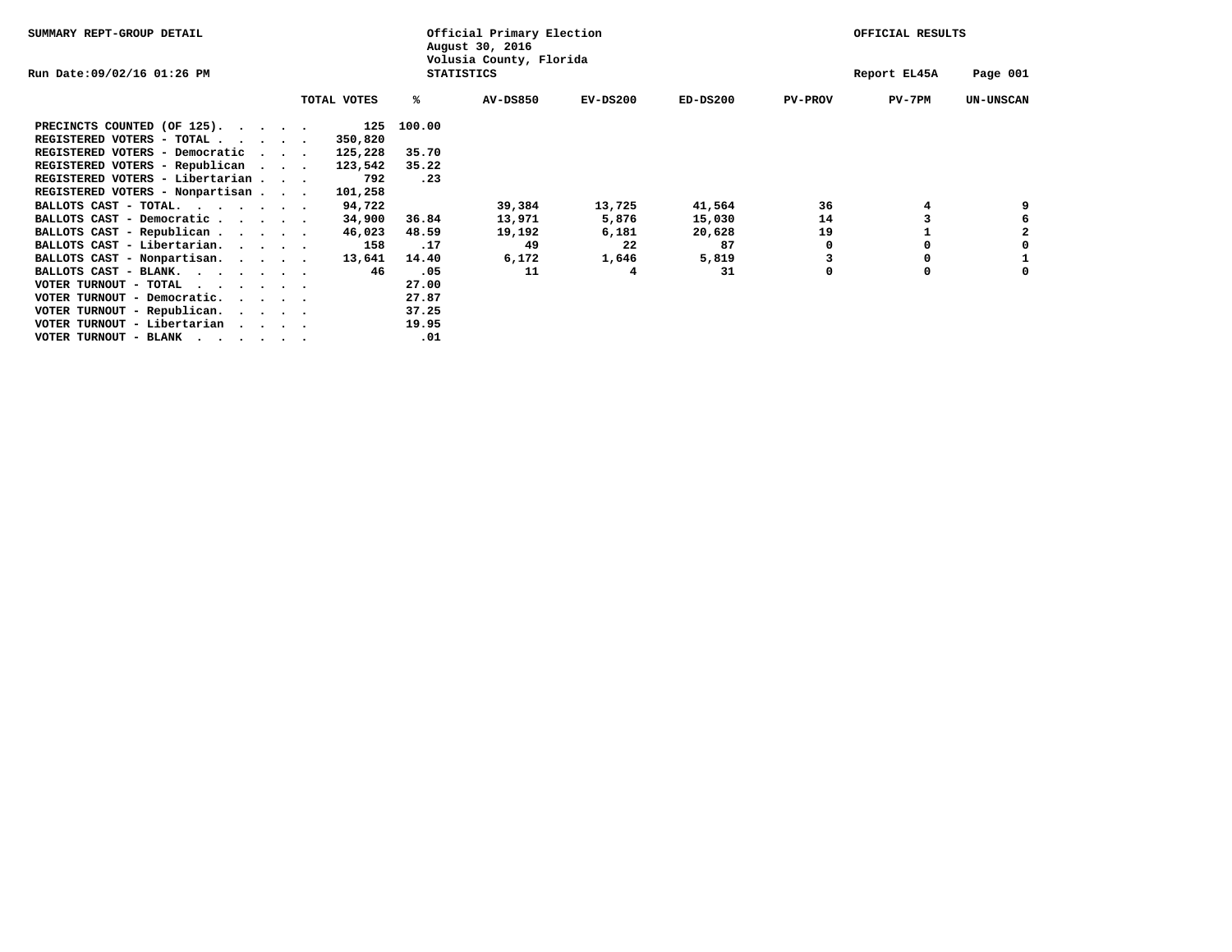| SUMMARY REPT-GROUP DETAIL                                                                                                                                                                                                                              |                                              |             | Official Primary Election<br>August 30, 2016 |                 |            | OFFICIAL RESULTS |                |              |                  |
|--------------------------------------------------------------------------------------------------------------------------------------------------------------------------------------------------------------------------------------------------------|----------------------------------------------|-------------|----------------------------------------------|-----------------|------------|------------------|----------------|--------------|------------------|
| Run Date:09/02/16 01:26 PM                                                                                                                                                                                                                             | Volusia County, Florida<br><b>STATISTICS</b> |             |                                              |                 |            |                  |                | Report EL45A | Page 001         |
|                                                                                                                                                                                                                                                        |                                              | TOTAL VOTES | %ะ                                           | <b>AV-DS850</b> | $EV-DS200$ | $ED-DS200$       | <b>PV-PROV</b> | PV-7PM       | <b>UN-UNSCAN</b> |
| PRECINCTS COUNTED (OF 125).                                                                                                                                                                                                                            |                                              | 125         | 100.00                                       |                 |            |                  |                |              |                  |
| REGISTERED VOTERS - TOTAL $\cdot \cdot \cdot \cdot$                                                                                                                                                                                                    |                                              | 350,820     |                                              |                 |            |                  |                |              |                  |
| REGISTERED VOTERS - Democratic                                                                                                                                                                                                                         |                                              | 125,228     | 35.70                                        |                 |            |                  |                |              |                  |
| REGISTERED VOTERS - Republican                                                                                                                                                                                                                         |                                              | 123,542     | 35.22                                        |                 |            |                  |                |              |                  |
| REGISTERED VOTERS - Libertarian                                                                                                                                                                                                                        |                                              | 792         | .23                                          |                 |            |                  |                |              |                  |
| REGISTERED VOTERS - Nonpartisan                                                                                                                                                                                                                        |                                              | 101,258     |                                              |                 |            |                  |                |              |                  |
| BALLOTS CAST - TOTAL.                                                                                                                                                                                                                                  |                                              | 94,722      |                                              | 39,384          | 13,725     | 41,564           | 36             | 4            | 9                |
| BALLOTS CAST - Democratic                                                                                                                                                                                                                              |                                              | 34,900      | 36.84                                        | 13,971          | 5,876      | 15,030           | 14             |              |                  |
| BALLOTS CAST - Republican                                                                                                                                                                                                                              |                                              | 46,023      | 48.59                                        | 19,192          | 6,181      | 20,628           | 19             |              |                  |
| BALLOTS CAST - Libertarian.                                                                                                                                                                                                                            |                                              | 158         | .17                                          | 49              | 22         | 87               |                |              | 0                |
| BALLOTS CAST - Nonpartisan.                                                                                                                                                                                                                            |                                              | 13,641      | 14.40                                        | 6,172           | 1,646      | 5,819            |                | 0            |                  |
| BALLOTS CAST - BLANK.                                                                                                                                                                                                                                  |                                              | 46          | .05                                          | 11              | 4          | 31               | 0              | 0            | 0                |
| VOTER TURNOUT - TOTAL                                                                                                                                                                                                                                  |                                              |             | 27.00                                        |                 |            |                  |                |              |                  |
| VOTER TURNOUT - Democratic.                                                                                                                                                                                                                            |                                              |             | 27.87                                        |                 |            |                  |                |              |                  |
| VOTER TURNOUT - Republican.                                                                                                                                                                                                                            |                                              |             | 37.25                                        |                 |            |                  |                |              |                  |
| VOTER TURNOUT - Libertarian                                                                                                                                                                                                                            |                                              |             | 19.95                                        |                 |            |                  |                |              |                  |
| VOTER TURNOUT - BLANK<br>. The contract of the contract of the contract of the contract of the contract of the contract of the contract of the contract of the contract of the contract of the contract of the contract of the contract of the contrac |                                              |             | .01                                          |                 |            |                  |                |              |                  |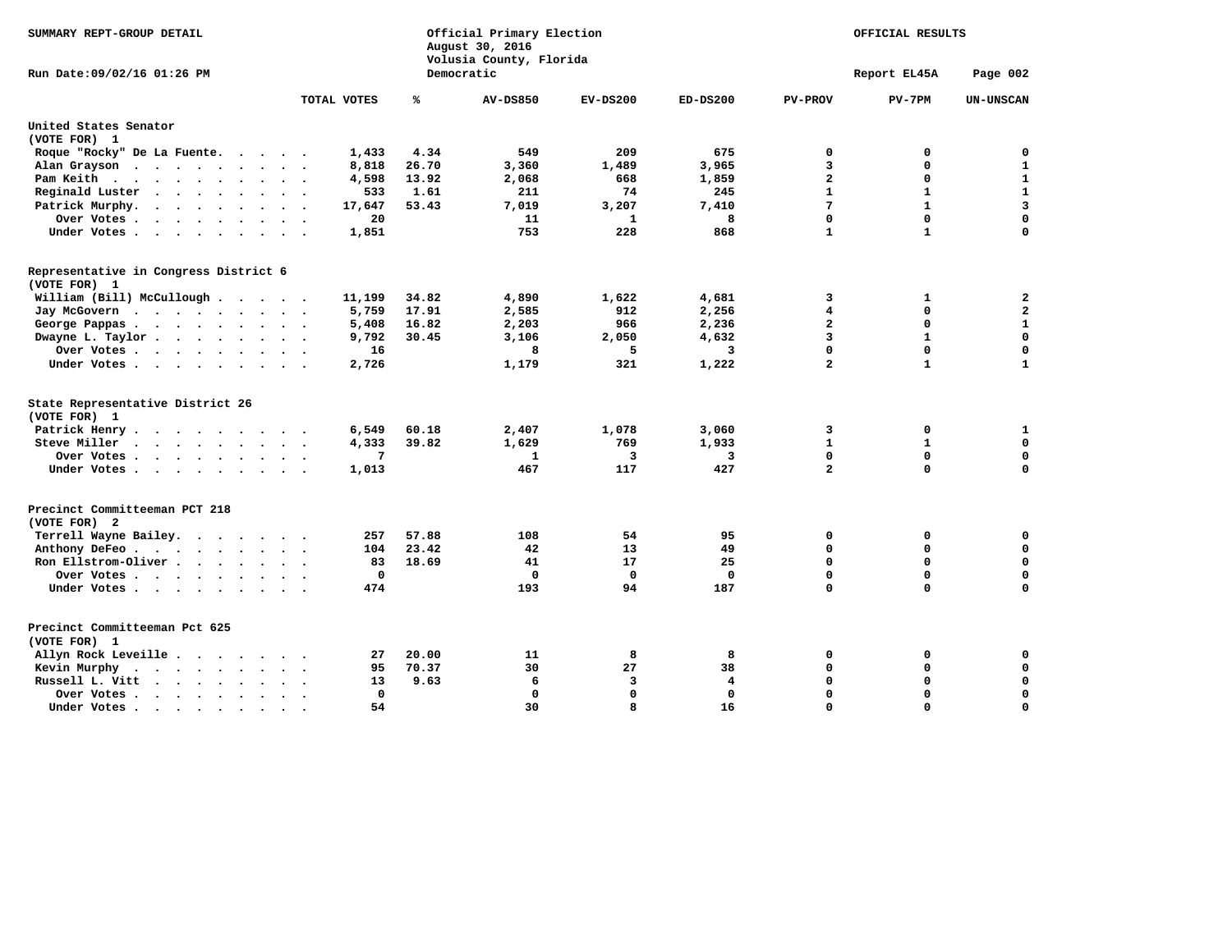| SUMMARY REPT-GROUP DETAIL                                                         |              |                | Official Primary Election<br>August 30, 2016<br>Volusia County, Florida |              | OFFICIAL RESULTS |                              |              |                                         |
|-----------------------------------------------------------------------------------|--------------|----------------|-------------------------------------------------------------------------|--------------|------------------|------------------------------|--------------|-----------------------------------------|
| Run Date: 09/02/16 01:26 PM                                                       |              |                | Democratic                                                              |              |                  |                              | Report EL45A | Page 002                                |
|                                                                                   | TOTAL VOTES  | ℁              | <b>AV-DS850</b>                                                         | $EV-DS200$   | $ED-DS200$       | <b>PV-PROV</b>               | $PV-7PM$     | <b>UN-UNSCAN</b>                        |
| United States Senator                                                             |              |                |                                                                         |              |                  |                              |              |                                         |
| (VOTE FOR) 1                                                                      |              |                |                                                                         |              |                  |                              |              |                                         |
| Roque "Rocky" De La Fuente.                                                       | 1,433        | 4.34           | 549                                                                     | 209          | 675              | $\mathbf 0$                  | 0            | 0                                       |
| Alan Grayson                                                                      | 8,818        | 26.70          | 3,360                                                                   | 1,489        | 3,965            | 3                            | 0            | $\mathbf{1}$                            |
| Pam Keith                                                                         | 4,598        | 13.92          | 2,068                                                                   | 668          | 1,859            | $\overline{\mathbf{2}}$      | 0            | $\mathbf 1$                             |
| Reginald Luster<br>$\sim$ $\sim$                                                  | 533          | 1.61           | 211                                                                     | 74           | 245              | $\mathbf{1}$                 | $\mathbf{1}$ | $\mathbf 1$                             |
| Patrick Murphy.<br>$\cdot$ $\cdot$ $\cdot$ $\cdot$ $\cdot$ $\cdot$ $\cdot$        | 17,647       | 53.43          | 7,019                                                                   | 3,207        | 7,410            | $7\phantom{.0}$              | $\mathbf{1}$ | 3                                       |
| Over Votes .<br>$\cdots$                                                          | 20           |                | 11                                                                      | $\mathbf{1}$ | 8                | $\Omega$                     | 0            | $\mathbf 0$                             |
| Under Votes                                                                       | 1,851        |                | 753                                                                     | 228          | 868              | $\mathbf{1}$                 | $\mathbf{1}$ | $\Omega$                                |
| Representative in Congress District 6<br>(VOTE FOR) 1                             |              |                |                                                                         |              |                  |                              |              |                                         |
|                                                                                   |              |                |                                                                         |              |                  |                              |              |                                         |
| William (Bill) McCullough                                                         | 11,199       | 34.82<br>17.91 | 4,890                                                                   | 1,622<br>912 | 4,681            | 3<br>$\overline{\mathbf{4}}$ | 1<br>0       | $\overline{\mathbf{2}}$<br>$\mathbf{2}$ |
| Jay McGovern                                                                      | 5,759        |                | 2,585                                                                   |              | 2,256            |                              |              |                                         |
| George Pappas                                                                     | 5,408        | 16.82          | 2,203                                                                   | 966          | 2,236            | $\mathbf{2}$                 | $\mathbf 0$  | ${\bf 1}$                               |
| Dwayne L. Taylor                                                                  | 9,792        | 30.45          | 3,106                                                                   | 2,050        | 4,632            | 3                            | $\mathbf{1}$ | $\mathbf 0$                             |
| Over Votes                                                                        | 16           |                | 8                                                                       | 5            | 3                | $\Omega$                     | $\mathbf{0}$ | $\mathbf 0$                             |
| Under Votes                                                                       | 2,726        |                | 1,179                                                                   | 321          | 1,222            | $\overline{a}$               | $\mathbf{1}$ | $\mathbf{1}$                            |
| State Representative District 26<br>(VOTE FOR) 1                                  |              |                |                                                                         |              |                  |                              |              |                                         |
| Patrick Henry.<br>$\cdot$ $\cdot$ $\cdot$ $\cdot$ $\cdot$ $\cdot$ $\cdot$ $\cdot$ | 6,549        | 60.18          | 2,407                                                                   | 1,078        | 3,060            | 3                            | 0            | 1                                       |
| Steve Miller<br>$\cdots$                                                          | 4,333        | 39.82          | 1,629                                                                   | 769          | 1,933            | $\mathbf{1}$                 | $\mathbf{1}$ | $\mathbf 0$                             |
| Over Votes                                                                        | 7            |                | 1                                                                       | 3            | 3                | $\mathbf 0$                  | 0            | $\mathbf 0$                             |
| Under Votes                                                                       | 1,013        |                | 467                                                                     | 117          | 427              | $\overline{a}$               | $\mathbf 0$  | $\mathbf 0$                             |
| Precinct Committeeman PCT 218                                                     |              |                |                                                                         |              |                  |                              |              |                                         |
| (VOTE FOR) 2                                                                      |              |                |                                                                         |              |                  |                              |              |                                         |
| Terrell Wayne Bailey.                                                             | 257          | 57.88          | 108                                                                     | 54           | 95               | 0                            | $\mathbf 0$  | $\mathbf 0$                             |
| Anthony DeFeo.                                                                    | 104          | 23.42          | 42                                                                      | 13           | 49               | 0                            | 0            | $\mathbf 0$                             |
| Ron Ellstrom-Oliver                                                               | 83           | 18.69          | 41                                                                      | 17           | 25               | $\Omega$                     | $\mathbf 0$  | $\mathbf 0$                             |
| Over Votes                                                                        | 0            |                | 0                                                                       | 0            | $\mathbf 0$      | $\mathbf 0$                  | $\mathbf 0$  | $\mathbf 0$                             |
| Under Votes                                                                       | 474          |                | 193                                                                     | 94           | 187              | $\Omega$                     | $\mathbf 0$  | $\mathbf 0$                             |
| Precinct Committeeman Pct 625                                                     |              |                |                                                                         |              |                  |                              |              |                                         |
| (VOTE FOR) 1                                                                      |              |                |                                                                         |              |                  |                              |              |                                         |
| Allyn Rock Leveille                                                               | 27           | 20.00          | 11                                                                      | 8            | 8                | $\mathbf 0$                  | $\mathbf 0$  | $\mathbf 0$                             |
| Kevin Murphy                                                                      | 95           | 70.37          | 30                                                                      | 27           | 38               | $\mathbf 0$                  | 0            | $\mathbf 0$                             |
| Russell L. Vitt<br>$\cdot$ $\cdot$ $\cdot$ $\cdot$<br>$\ddot{\phantom{a}}$        | 13           | 9.63           | 6                                                                       | 3            | 4                | $\mathbf{0}$                 | $\Omega$     | $\mathbf 0$                             |
| Over Votes<br>$\sim$ 100 $\sim$                                                   | $\mathbf{0}$ |                | $\mathbf 0$                                                             | $\mathbf 0$  | $\mathbf 0$      | $\mathbf 0$                  | $\mathbf 0$  | $\mathbf 0$                             |
| Under Votes                                                                       | 54           |                | 30                                                                      | 8            | 16               | $\Omega$                     | $\Omega$     | $\mathbf 0$                             |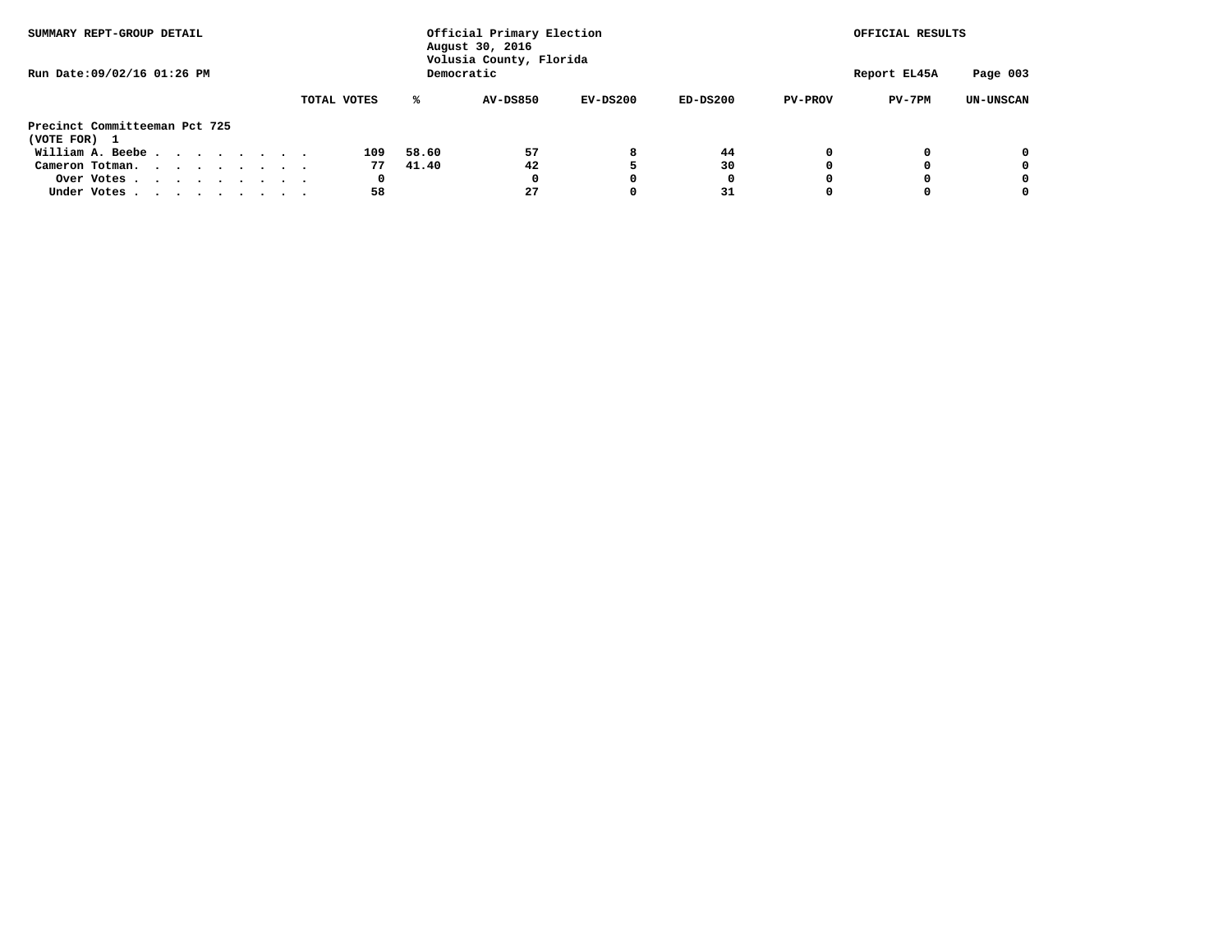| SUMMARY REPT-GROUP DETAIL     |             | Official Primary Election<br>August 30, 2016<br>Volusia County, Florida |                          | OFFICIAL RESULTS |                            |  |  |  |
|-------------------------------|-------------|-------------------------------------------------------------------------|--------------------------|------------------|----------------------------|--|--|--|
| Run Date: 09/02/16 01:26 PM   |             | Democratic                                                              |                          |                  |                            |  |  |  |
|                               | TOTAL VOTES | AV-DS850<br>℁                                                           | $EV-DS200$<br>$ED-DS200$ | <b>PV-PROV</b>   | PV-7PM<br><b>UN-UNSCAN</b> |  |  |  |
| Precinct Committeeman Pct 725 |             |                                                                         |                          |                  |                            |  |  |  |
| (VOTE FOR) 1                  |             |                                                                         |                          |                  |                            |  |  |  |
| William A. Beebe              | 109         | 57<br>58.60                                                             | 44<br>8                  | 0                | 0<br>0                     |  |  |  |
| Cameron Totman.               | 77          | 41.40<br>42                                                             | 30                       | 0                | 0<br>$\Omega$              |  |  |  |
| Over Votes                    | 0           |                                                                         | 0                        | O                | 0<br>O                     |  |  |  |
| Under Votes                   | 58          | 27                                                                      | 31                       |                  |                            |  |  |  |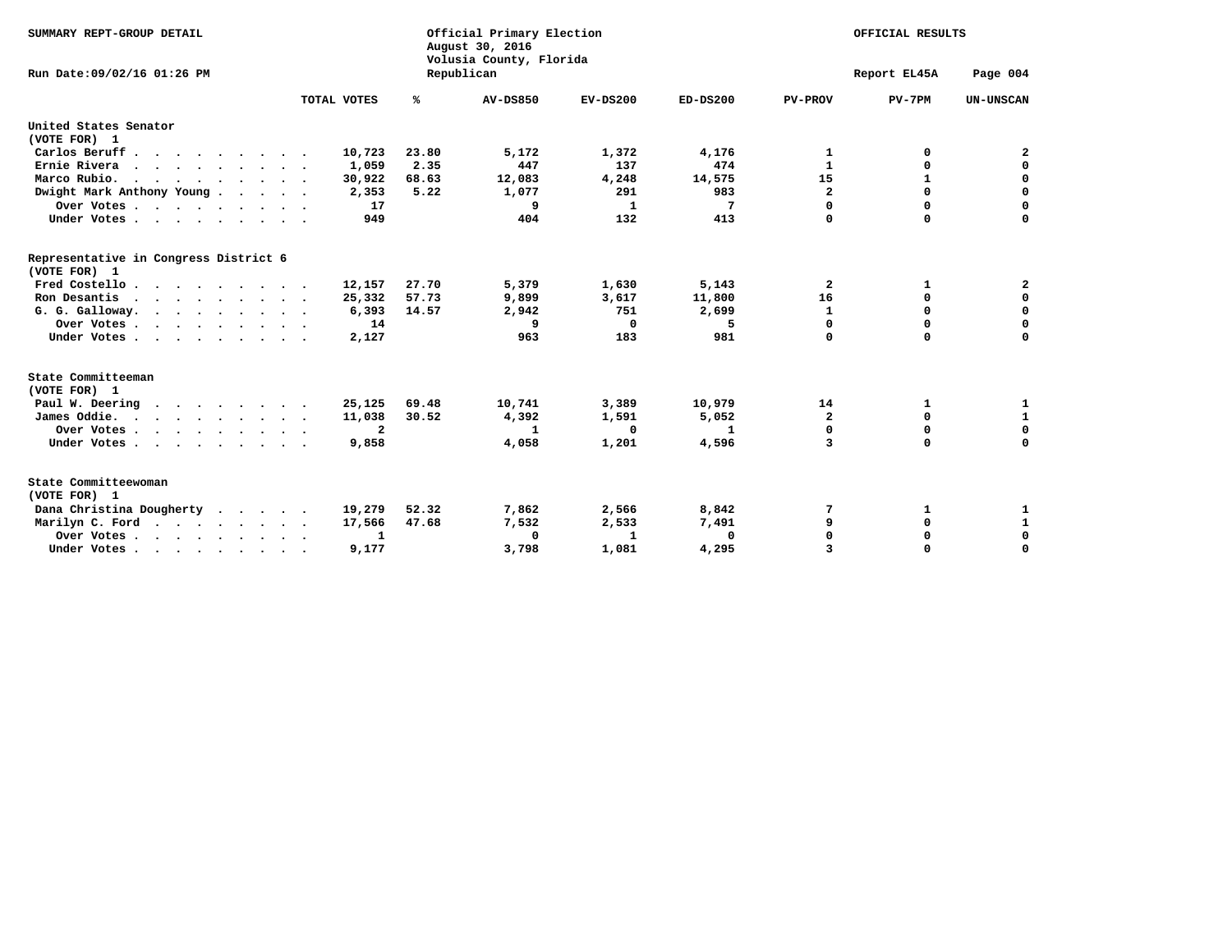| SUMMARY REPT-GROUP DETAIL                             |              |            | Official Primary Election<br>August 30, 2016<br>Volusia County, Florida |            | OFFICIAL RESULTS |                |          |                  |
|-------------------------------------------------------|--------------|------------|-------------------------------------------------------------------------|------------|------------------|----------------|----------|------------------|
| Run Date: 09/02/16 01:26 PM                           |              | Republican |                                                                         |            | Report EL45A     | Page 004       |          |                  |
|                                                       | TOTAL VOTES  | ℁          | <b>AV-DS850</b>                                                         | $EV-DS200$ | $ED-DS200$       | <b>PV-PROV</b> | $PV-7PM$ | <b>UN-UNSCAN</b> |
| United States Senator                                 |              |            |                                                                         |            |                  |                |          |                  |
| (VOTE FOR) 1                                          |              |            |                                                                         |            |                  |                |          |                  |
| Carlos Beruff.                                        | 10,723       | 23.80      | 5,172                                                                   | 1,372      | 4,176            | 1              | 0        | 2                |
| Ernie Rivera                                          | 1,059        | 2.35       | 447                                                                     | 137        | 474              | $\mathbf{1}$   | 0        | 0                |
| Marco Rubio.<br>.                                     | 30,922       | 68.63      | 12,083                                                                  | 4,248      | 14,575           | 15             | 1        | 0                |
| Dwight Mark Anthony Young                             | 2,353        | 5.22       | 1,077                                                                   | 291        | 983              | $\overline{a}$ | 0        | 0                |
| Over Votes                                            | 17           |            | 9                                                                       | 1          | 7                | $\Omega$       | $\Omega$ | $\mathbf 0$      |
| Under Votes                                           | 949          |            | 404                                                                     | 132        | 413              | $\Omega$       | $\Omega$ | $\Omega$         |
| Representative in Congress District 6<br>(VOTE FOR) 1 |              |            |                                                                         |            |                  |                |          |                  |
| Fred Costello.                                        | 12,157       | 27.70      | 5,379                                                                   | 1,630      | 5,143            | 2              | 1        | 2                |
| Ron Desantis<br>$\cdots$                              | 25,332       | 57.73      | 9,899                                                                   | 3,617      | 11,800           | 16             | 0        | 0                |
| G. G. Galloway.                                       | 6,393        | 14.57      | 2,942                                                                   | 751        | 2,699            | $\mathbf{1}$   | 0        | $\mathbf 0$      |
| Over Votes                                            | 14           |            | 9                                                                       | 0          | 5                | $\mathbf 0$    | 0        | $\mathbf 0$      |
| Under Votes                                           | 2,127        |            | 963                                                                     | 183        | 981              | $\Omega$       | $\Omega$ | $\Omega$         |
| State Committeeman<br>(VOTE FOR) 1                    |              |            |                                                                         |            |                  |                |          |                  |
| Paul W. Deering                                       | 25,125       | 69.48      | 10,741                                                                  | 3,389      | 10,979           | 14             | 1        | 1                |
| James Oddie.                                          | 11,038       | 30.52      | 4,392                                                                   | 1,591      | 5,052            | $\overline{a}$ | 0        | $\mathbf{1}$     |
| Over Votes                                            | $\mathbf{2}$ |            | 1                                                                       | 0          | 1                | $\Omega$       | 0        | $\mathbf 0$      |
| Under Votes                                           | 9,858        |            | 4,058                                                                   | 1,201      | 4,596            | 3              | $\Omega$ | $\Omega$         |
|                                                       |              |            |                                                                         |            |                  |                |          |                  |
| State Committeewoman<br>(VOTE FOR) 1                  |              |            |                                                                         |            |                  |                |          |                  |
| Dana Christina Dougherty                              | 19,279       | 52.32      | 7,862                                                                   | 2,566      | 8,842            | 7              | 1        | 1                |
| Marilyn C. Ford                                       | 17,566       | 47.68      | 7,532                                                                   | 2,533      | 7,491            | 9              | 0        | 1                |
| Over Votes                                            | 1            |            | 0                                                                       | 1          | 0                | 0              | 0        | $\mathbf 0$      |
| Under Votes                                           | 9,177        |            | 3,798                                                                   | 1,081      | 4,295            | 3              | O        | $\Omega$         |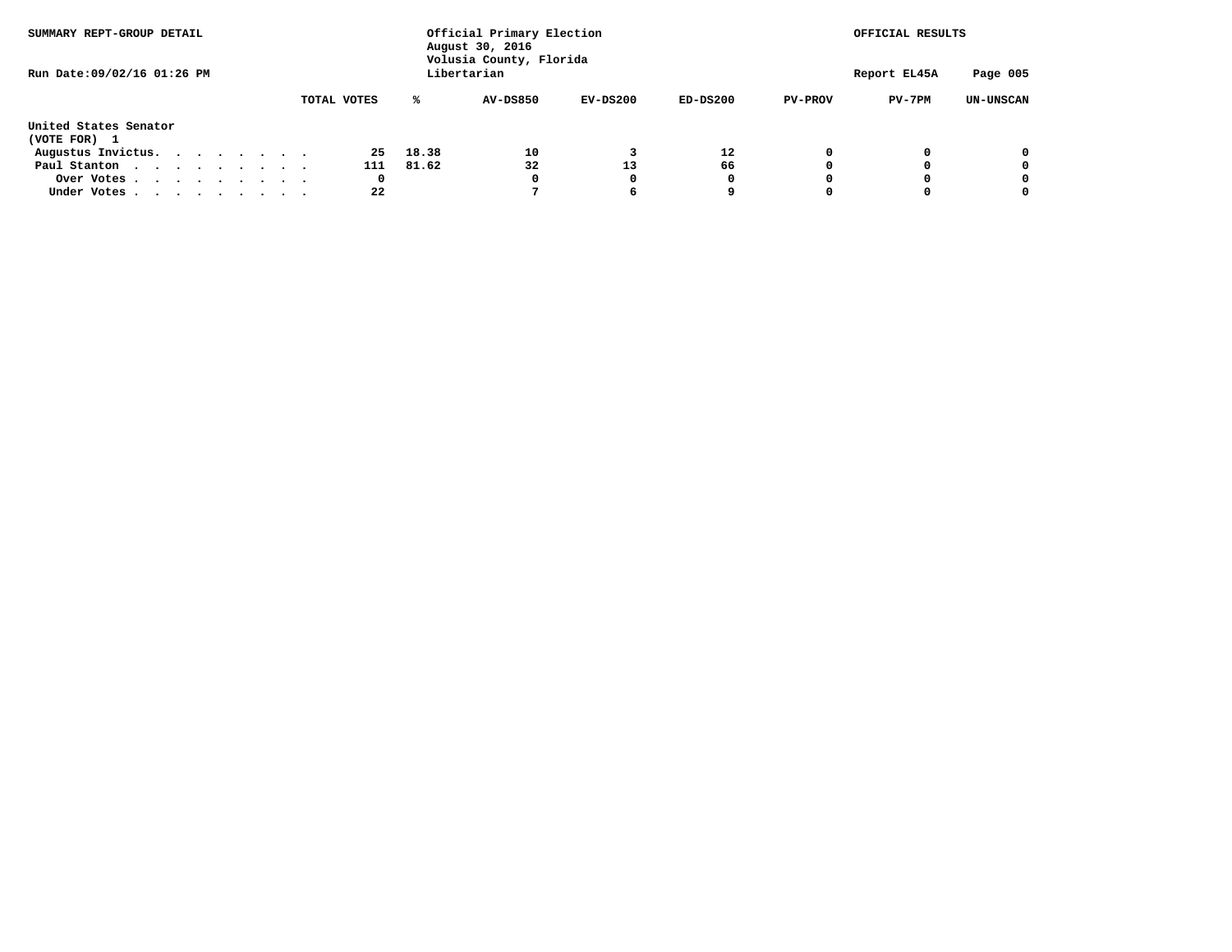| SUMMARY REPT-GROUP DETAIL<br>Run Date: 09/02/16 01:26 PM |  |  |  | Official Primary Election<br>August 30, 2016<br>Volusia County, Florida |             |             |              |                 |            |            | OFFICIAL RESULTS |          |            |
|----------------------------------------------------------|--|--|--|-------------------------------------------------------------------------|-------------|-------------|--------------|-----------------|------------|------------|------------------|----------|------------|
|                                                          |  |  |  |                                                                         | Libertarian |             | Report EL45A | Page 005        |            |            |                  |          |            |
|                                                          |  |  |  |                                                                         |             | TOTAL VOTES | ℁            | <b>AV-DS850</b> | $EV-DS200$ | $ED-DS200$ | <b>PV-PROV</b>   | $PV-7PM$ | UN-UNSCAN  |
| United States Senator                                    |  |  |  |                                                                         |             |             |              |                 |            |            |                  |          |            |
| (VOTE FOR) 1                                             |  |  |  |                                                                         |             |             |              |                 |            |            |                  |          |            |
| Augustus Invictus.                                       |  |  |  |                                                                         |             | 25          | 18.38        | 10              |            | 12         | 0                |          | $^{\circ}$ |
| Paul Stanton                                             |  |  |  |                                                                         |             | 111         | 81.62        | 32              | 13         | 66         |                  |          | 0          |
| Over Votes                                               |  |  |  |                                                                         |             | 0           |              | 0               | O          | 0          |                  |          | 0          |
| Under Votes                                              |  |  |  |                                                                         |             | 22          |              |                 | 6          |            |                  |          | 0          |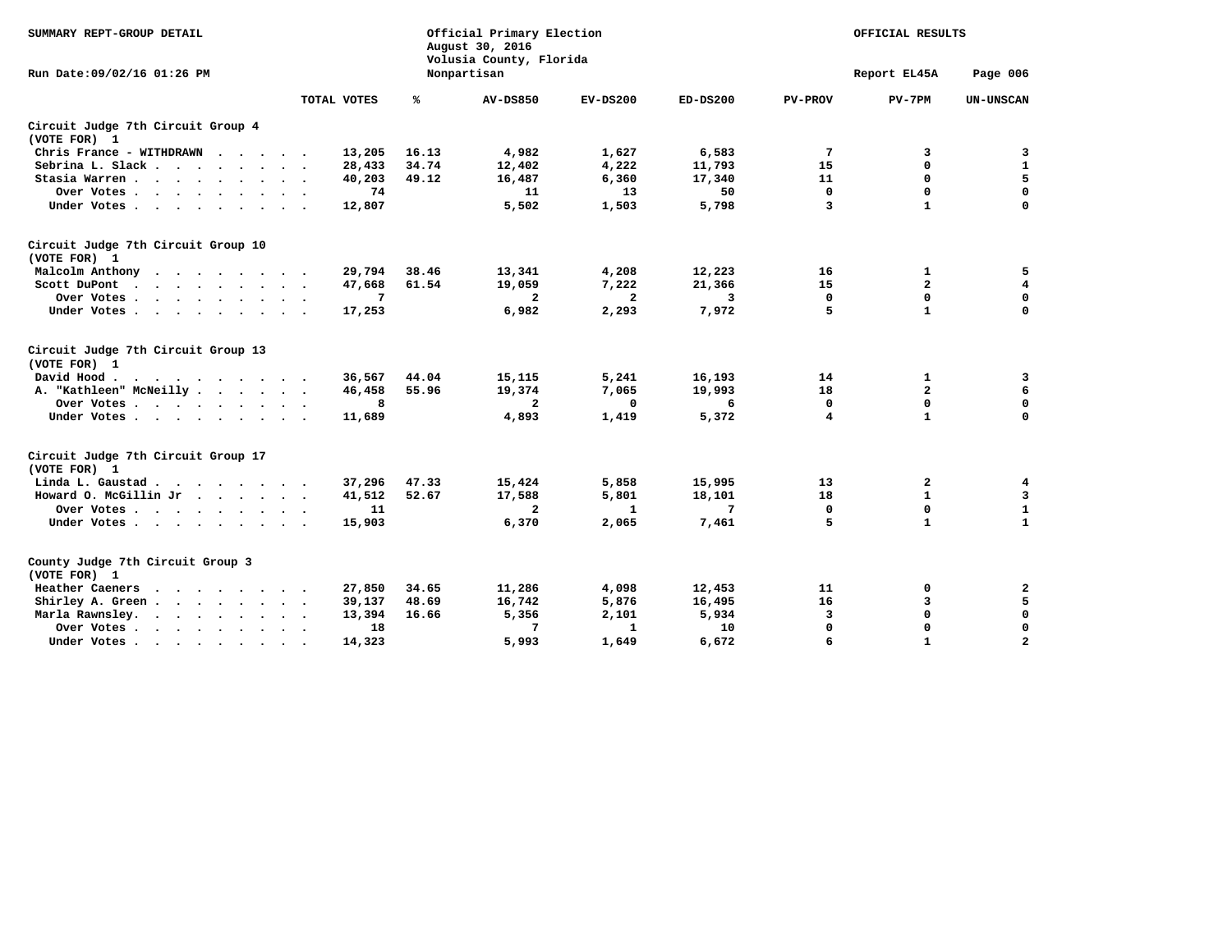| SUMMARY REPT-GROUP DETAIL                          |                 |       | Official Primary Election<br>August 30, 2016<br>Volusia County, Florida |              | OFFICIAL RESULTS |                |              |                  |
|----------------------------------------------------|-----------------|-------|-------------------------------------------------------------------------|--------------|------------------|----------------|--------------|------------------|
| Run Date: 09/02/16 01:26 PM                        |                 |       | Nonpartisan                                                             |              |                  |                | Report EL45A | Page 006         |
|                                                    | TOTAL VOTES     | ℁     | <b>AV-DS850</b>                                                         | $EV-DS200$   | $ED-DS200$       | <b>PV-PROV</b> | $PV-7PM$     | <b>UN-UNSCAN</b> |
| Circuit Judge 7th Circuit Group 4<br>(VOTE FOR) 1  |                 |       |                                                                         |              |                  |                |              |                  |
| Chris France - WITHDRAWN                           | 13,205          | 16.13 | 4,982                                                                   | 1,627        | 6,583            | 7              | 3            | 3                |
| Sebrina L. Slack                                   | 28,433          | 34.74 | 12,402                                                                  | 4,222        | 11,793           | 15             | 0            | $\mathbf{1}$     |
| Stasia Warren                                      | 40,203          | 49.12 | 16,487                                                                  | 6,360        | 17,340           | 11             | $\mathbf 0$  | 5                |
| Over Votes                                         | 74              |       | 11                                                                      | 13           | 50               | $\Omega$       | $\mathbf 0$  | $\mathbf 0$      |
| Under Votes                                        | 12,807          |       | 5,502                                                                   | 1,503        | 5,798            | $\overline{3}$ | $\mathbf{1}$ | $\Omega$         |
| Circuit Judge 7th Circuit Group 10<br>(VOTE FOR) 1 |                 |       |                                                                         |              |                  |                |              |                  |
| Malcolm Anthony                                    | 29,794          | 38.46 | 13,341                                                                  | 4,208        | 12,223           | 16             | 1            | 5                |
| Scott DuPont                                       | 47,668          | 61.54 | 19,059                                                                  | 7,222        | 21,366           | 15             | $\mathbf{2}$ | $\overline{4}$   |
| Over Votes                                         | $7\phantom{.0}$ |       | $\mathbf{2}$                                                            | $\mathbf{2}$ | 3                | $\mathbf 0$    | $\mathbf 0$  | $\mathbf 0$      |
| Under Votes                                        | 17,253          |       | 6,982                                                                   | 2,293        | 7,972            | 5              | $\mathbf{1}$ | $\Omega$         |
|                                                    |                 |       |                                                                         |              |                  |                |              |                  |
| Circuit Judge 7th Circuit Group 13<br>(VOTE FOR) 1 |                 |       |                                                                         |              |                  |                |              |                  |
| David Hood.<br>$\cdots$                            | 36,567          | 44.04 | 15,115                                                                  | 5,241        | 16,193           | 14             | $\mathbf{1}$ | 3                |
| A. "Kathleen" McNeilly                             | 46,458          | 55.96 | 19,374                                                                  | 7,065        | 19,993           | 18             | $\mathbf{2}$ | 6                |
| Over Votes                                         | 8               |       | $\mathbf{2}$                                                            | $\Omega$     | 6                | 0              | $\mathbf 0$  | $\mathbf 0$      |
| Under Votes                                        | 11,689          |       | 4,893                                                                   | 1,419        | 5,372            | 4              | $\mathbf{1}$ | $\Omega$         |
| Circuit Judge 7th Circuit Group 17<br>(VOTE FOR) 1 |                 |       |                                                                         |              |                  |                |              |                  |
| Linda L. Gaustad                                   | 37,296          | 47.33 | 15,424                                                                  | 5,858        | 15,995           | 13             | $\mathbf{2}$ | $\overline{4}$   |
| Howard O. McGillin Jr                              | 41,512          | 52.67 | 17,588                                                                  | 5,801        | 18,101           | 18             | $\mathbf{1}$ | 3                |
| Over Votes                                         | 11              |       | $\mathbf{2}$                                                            | $\mathbf{1}$ | 7                | $\mathbf{0}$   | $\mathbf 0$  | $\mathbf{1}$     |
| Under Votes                                        | 15,903          |       | 6,370                                                                   | 2,065        | 7,461            | 5              | $\mathbf{1}$ | $\mathbf{1}$     |
| County Judge 7th Circuit Group 3<br>(VOTE FOR) 1   |                 |       |                                                                         |              |                  |                |              |                  |
| Heather Caeners                                    | 27,850          | 34.65 | 11,286                                                                  | 4,098        | 12,453           | 11             | 0            | 2                |
| Shirley A. Green                                   | 39,137          | 48.69 | 16,742                                                                  | 5,876        | 16,495           | 16             | 3            | 5                |
| Marla Rawnsley.                                    | 13,394          | 16.66 | 5,356                                                                   | 2,101        | 5,934            | 3              | 0            | $\mathbf 0$      |
| Over Votes                                         | 18              |       | 7                                                                       | $\mathbf{1}$ | 10               | $\mathbf 0$    | 0            | 0                |
| Under Votes                                        | 14,323          |       | 5,993                                                                   | 1,649        | 6,672            | 6              | $\mathbf{1}$ | $\overline{a}$   |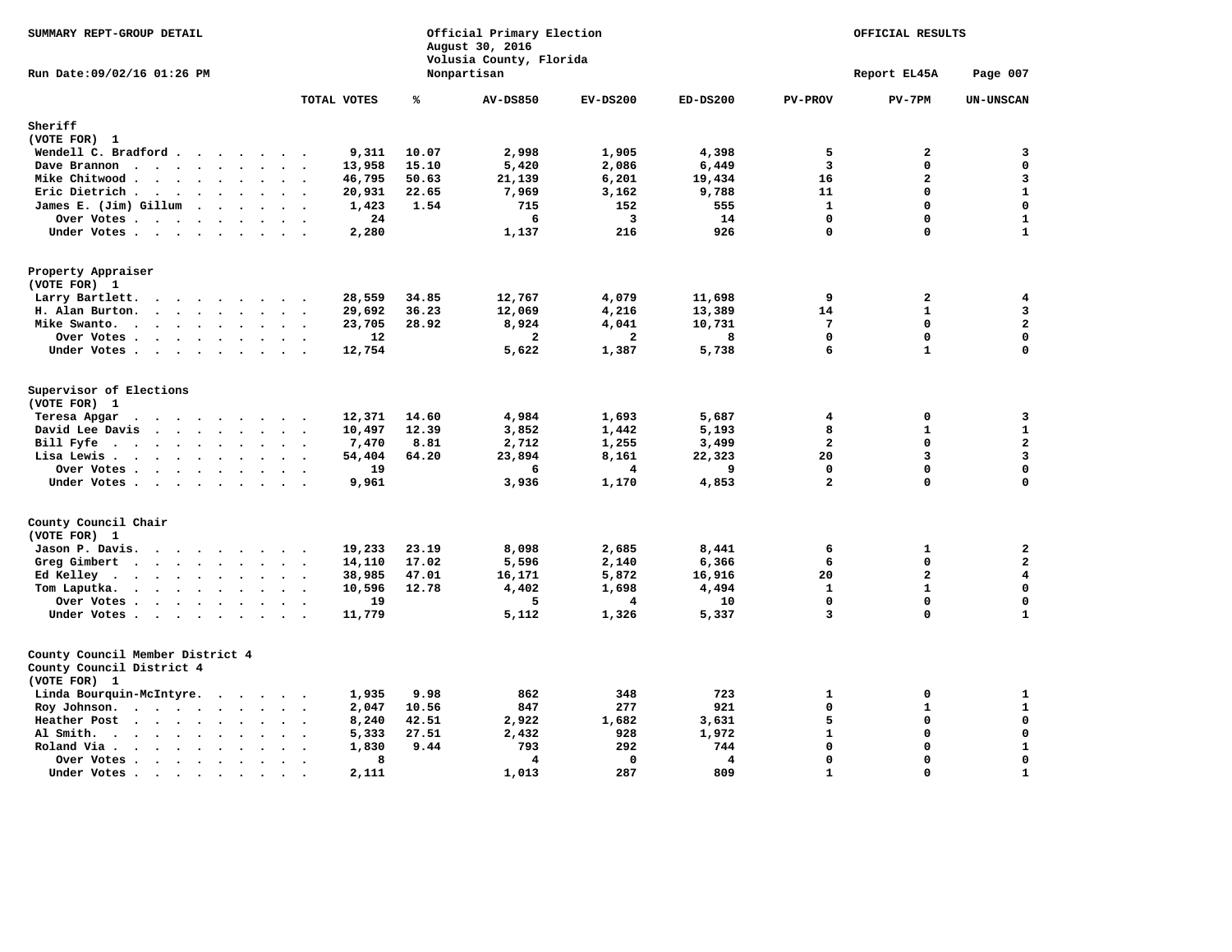| SUMMARY REPT-GROUP DETAIL                                                                                                                                                                                                                                                                      |                                             |       | Official Primary Election<br>August 30, 2016<br>Volusia County, Florida |                         | OFFICIAL RESULTS        |                 |                         |                         |
|------------------------------------------------------------------------------------------------------------------------------------------------------------------------------------------------------------------------------------------------------------------------------------------------|---------------------------------------------|-------|-------------------------------------------------------------------------|-------------------------|-------------------------|-----------------|-------------------------|-------------------------|
| Run Date:09/02/16 01:26 PM                                                                                                                                                                                                                                                                     |                                             |       | Nonpartisan                                                             |                         |                         |                 | Report EL45A            | Page 007                |
|                                                                                                                                                                                                                                                                                                | TOTAL VOTES                                 | ℁     | <b>AV-DS850</b>                                                         | $EV-DS200$              | ED-DS200                | <b>PV-PROV</b>  | $PV-7PM$                | <b>UN-UNSCAN</b>        |
| Sheriff                                                                                                                                                                                                                                                                                        |                                             |       |                                                                         |                         |                         |                 |                         |                         |
| (VOTE FOR) 1                                                                                                                                                                                                                                                                                   |                                             |       |                                                                         |                         |                         |                 |                         |                         |
| Wendell C. Bradford                                                                                                                                                                                                                                                                            | 9,311                                       | 10.07 | 2,998                                                                   | 1,905                   | 4,398                   | 5               | $\overline{\mathbf{2}}$ | 3                       |
| Dave Brannon                                                                                                                                                                                                                                                                                   | 13,958                                      | 15.10 | 5,420                                                                   | 2,086                   | 6,449                   | 3               | $\mathbf 0$             | $\mathbf 0$             |
| Mike Chitwood                                                                                                                                                                                                                                                                                  | 46,795                                      | 50.63 | 21,139                                                                  | 6,201                   | 19,434                  | 16              | $\overline{a}$          | 3                       |
| Eric Dietrich.<br>$\cdots$                                                                                                                                                                                                                                                                     | 20,931                                      | 22.65 | 7,969                                                                   | 3,162                   | 9,788                   | 11              | $\mathbf{0}$            | $\mathbf 1$             |
| James E. (Jim) Gillum<br>$\cdots$                                                                                                                                                                                                                                                              | 1,423                                       | 1.54  | 715                                                                     | 152                     | 555                     | $\mathbf{1}$    | $\mathbf 0$             | $\mathbf 0$             |
| Over Votes                                                                                                                                                                                                                                                                                     | 24                                          |       | 6                                                                       | 3                       | 14                      | $\mathbf 0$     | 0                       | $\mathbf{1}$            |
| Under Votes                                                                                                                                                                                                                                                                                    | 2,280                                       |       | 1,137                                                                   | 216                     | 926                     | $\Omega$        | 0                       | $\mathbf{1}$            |
| Property Appraiser<br>(VOTE FOR) 1                                                                                                                                                                                                                                                             |                                             |       |                                                                         |                         |                         |                 |                         |                         |
| Larry Bartlett.                                                                                                                                                                                                                                                                                | 28,559                                      | 34.85 | 12,767                                                                  | 4,079                   | 11,698                  | 9               | $\mathbf{2}$            | 4                       |
| H. Alan Burton.                                                                                                                                                                                                                                                                                | 29,692<br>$\ddot{\phantom{0}}$<br>$\bullet$ | 36.23 | 12,069                                                                  | 4,216                   | 13,389                  | 14              | $\mathbf{1}$            | 3                       |
| Mike Swanto.<br>$\cdots$                                                                                                                                                                                                                                                                       | 23,705                                      | 28.92 | 8,924                                                                   | 4,041                   | 10,731                  | $7\phantom{.0}$ | 0                       | $\mathbf{2}$            |
| Over Votes                                                                                                                                                                                                                                                                                     | 12                                          |       | $\overline{a}$                                                          | $\overline{a}$          | 8                       | $\mathbf 0$     | $\mathbf{0}$            | $\mathbf 0$             |
| Under Votes                                                                                                                                                                                                                                                                                    | 12,754                                      |       | 5,622                                                                   | 1,387                   | 5,738                   | 6               | $\mathbf{1}$            | $\mathbf 0$             |
| Supervisor of Elections<br>(VOTE FOR) 1                                                                                                                                                                                                                                                        |                                             |       |                                                                         |                         |                         |                 |                         |                         |
| Teresa Apgar<br>$\ddot{\phantom{a}}$                                                                                                                                                                                                                                                           | 12,371                                      | 14.60 | 4,984                                                                   | 1,693                   | 5,687                   | 4               | $\mathbf 0$             | 3                       |
| David Lee Davis                                                                                                                                                                                                                                                                                | 10,497                                      | 12.39 | 3,852                                                                   | 1,442                   | 5,193                   | 8               | $\mathbf{1}$            | $\mathbf{1}$            |
| Bill Fyfe<br>$\ddot{\phantom{0}}$<br>$\mathbf{r}$ . The contract of the contract of the contract of the contract of the contract of the contract of the contract of the contract of the contract of the contract of the contract of the contract of the contract of th<br>$\ddot{\phantom{a}}$ | 7,470<br>$\ddot{\phantom{0}}$               | 8.81  | 2,712                                                                   | 1,255                   | 3,499                   | $\overline{a}$  | $\mathbf 0$             | $\mathbf 2$             |
| Lisa Lewis.<br>$\begin{array}{cccccccccccccccccc} . & . & . & . & . & . & . & . & . & . \end{array}$                                                                                                                                                                                           | 54,404                                      | 64.20 | 23,894                                                                  | 8,161                   | 22,323                  | 20              | 3                       | $\mathbf{3}$            |
| Over Votes                                                                                                                                                                                                                                                                                     | 19                                          |       | 6                                                                       | $\overline{\mathbf{4}}$ | 9                       | $\mathbf 0$     | $\mathbf 0$             | $\mathbf 0$             |
| Under Votes                                                                                                                                                                                                                                                                                    | 9,961                                       |       | 3,936                                                                   | 1,170                   | 4,853                   | $\overline{a}$  | $\mathbf{0}$            | $\mathbf 0$             |
| County Council Chair<br>(VOTE FOR) 1                                                                                                                                                                                                                                                           |                                             |       |                                                                         |                         |                         |                 |                         |                         |
| Jason P. Davis.                                                                                                                                                                                                                                                                                | 19,233                                      | 23.19 | 8,098                                                                   | 2,685                   | 8,441                   | 6               | 1                       | $\overline{\mathbf{2}}$ |
| Greg Gimbert                                                                                                                                                                                                                                                                                   | 14,110<br>$\ddot{\phantom{1}}$              | 17.02 | 5,596                                                                   | 2,140                   | 6,366                   | 6               | $\mathbf 0$             | $\overline{2}$          |
| Ed Kelley.<br>$\sim$                                                                                                                                                                                                                                                                           | 38,985                                      | 47.01 | 16,171                                                                  | 5,872                   | 16,916                  | 20              | $\mathbf{2}$            | $\overline{\mathbf{4}}$ |
| Tom Laputka.<br>$\cdot$ $\cdot$ $\cdot$ $\cdot$ $\cdot$<br>$\sim$ $\sim$<br>$\ddot{\phantom{a}}$                                                                                                                                                                                               | 10,596                                      | 12.78 | 4,402                                                                   | 1,698                   | 4,494                   | $\mathbf{1}$    | $\mathbf{1}$            | $\mathbf 0$             |
| Over Votes                                                                                                                                                                                                                                                                                     | 19                                          |       | 5                                                                       | 4                       | 10                      | $\mathbf 0$     | 0                       | $\mathbf 0$             |
| Under Votes                                                                                                                                                                                                                                                                                    | 11,779                                      |       | 5,112                                                                   | 1,326                   | 5,337                   | 3               | $\mathbf{0}$            | $\mathbf{1}$            |
| County Council Member District 4<br>County Council District 4<br>(VOTE FOR) 1                                                                                                                                                                                                                  |                                             |       |                                                                         |                         |                         |                 |                         |                         |
| Linda Bourquin-McIntyre.                                                                                                                                                                                                                                                                       | 1,935                                       | 9.98  | 862                                                                     | 348                     | 723                     | $\mathbf{1}$    | $\mathbf 0$             | $\mathbf{1}$            |
| Roy Johnson.                                                                                                                                                                                                                                                                                   | 2,047                                       | 10.56 | 847                                                                     | 277                     | 921                     | $\mathbf 0$     | $\mathbf{1}$            | $\mathbf{1}$            |
| Heather Post<br>$\bullet$<br>$\bullet$                                                                                                                                                                                                                                                         | 8,240                                       | 42.51 | 2,922                                                                   | 1,682                   | 3,631                   | 5               | $\mathbf 0$             | $\mathbf 0$             |
| Al Smith.<br>$\begin{array}{cccccccccccccc} \bullet & \bullet & \bullet & \bullet & \bullet & \bullet & \bullet & \bullet \end{array}$<br>$\sim$<br>$\bullet$<br>$\bullet$                                                                                                                     | 5,333<br>$\ddot{\phantom{a}}$               | 27.51 | 2,432                                                                   | 928                     | 1,972                   | $\mathbf{1}$    | $\mathbf 0$             | $\mathbf 0$             |
| Roland Via.<br>$\sim$ $\sim$ $\sim$ $\sim$ $\sim$<br>$\bullet$<br>$\sim$                                                                                                                                                                                                                       | 1,830<br>$\cdot$                            | 9.44  | 793                                                                     | 292                     | 744                     | $\mathbf 0$     | $\mathbf 0$             | $\mathbf 1$             |
| Over Votes<br>$\bullet$<br>$\bullet$                                                                                                                                                                                                                                                           |                                             | 8     | $\overline{\mathbf{A}}$                                                 | $\Omega$                | $\overline{\mathbf{A}}$ | $\mathbf 0$     | $\mathbf 0$             | $\mathbf 0$             |
| Under Votes.<br>$\sim$ $\sim$<br>$\bullet$<br>$\sim$<br>$\bullet$                                                                                                                                                                                                                              | 2,111                                       |       | 1,013                                                                   | 287                     | 809                     | $\mathbf{1}$    | $\Omega$                | $\mathbf{1}$            |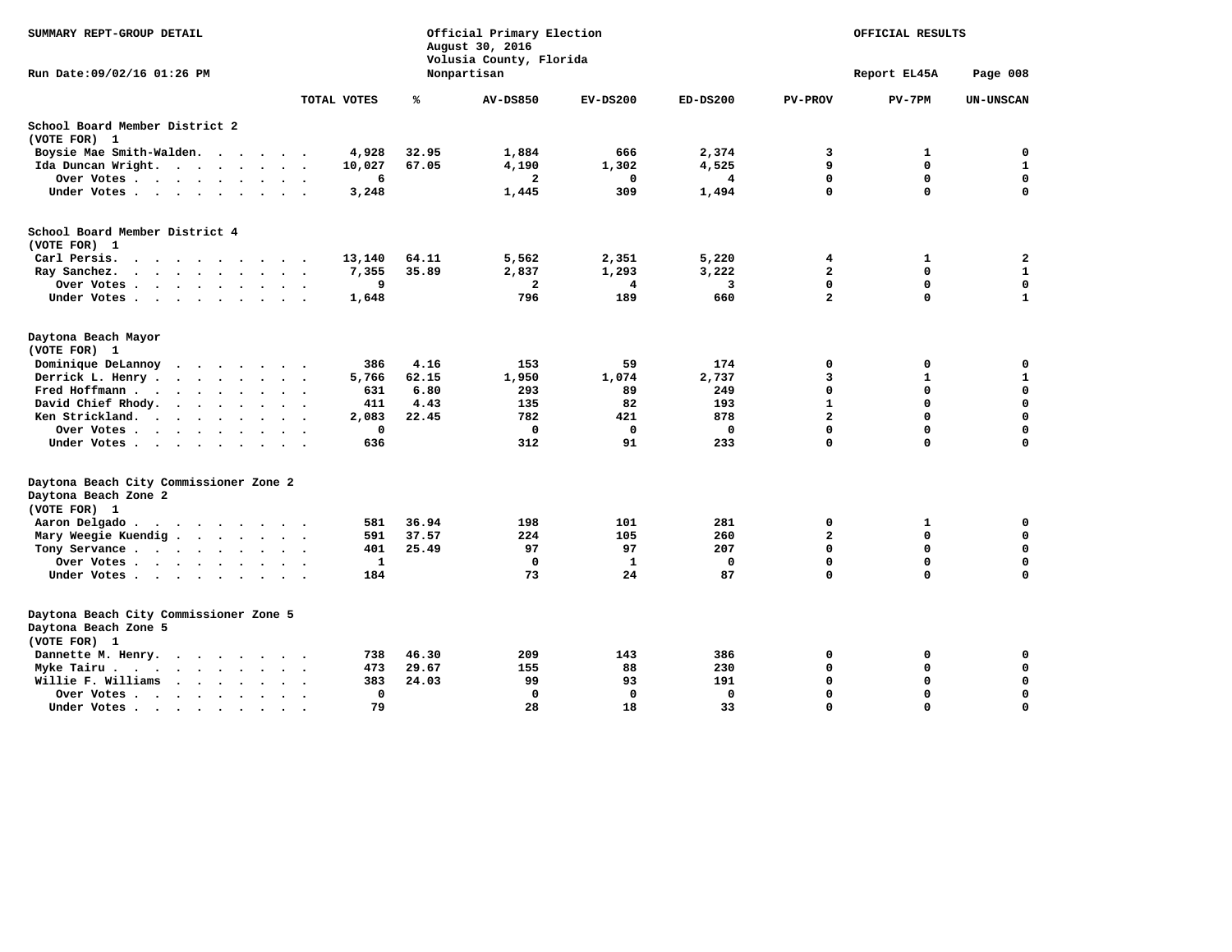| SUMMARY REPT-GROUP DETAIL                                                          |                  |       | Official Primary Election<br>August 30, 2016<br>Volusia County, Florida | OFFICIAL RESULTS |              |                |              |                  |
|------------------------------------------------------------------------------------|------------------|-------|-------------------------------------------------------------------------|------------------|--------------|----------------|--------------|------------------|
| Run Date: 09/02/16 01:26 PM                                                        |                  |       | Nonpartisan                                                             |                  |              |                | Report EL45A | Page 008         |
|                                                                                    | TOTAL VOTES      | %     | <b>AV-DS850</b>                                                         | $EV-DS200$       | ED-DS200     | <b>PV-PROV</b> | $PV-7PM$     | <b>UN-UNSCAN</b> |
| School Board Member District 2                                                     |                  |       |                                                                         |                  |              |                |              |                  |
| (VOTE FOR) 1                                                                       |                  |       |                                                                         |                  |              |                |              |                  |
| Boysie Mae Smith-Walden.                                                           | 4,928            | 32.95 | 1,884                                                                   | 666              | 2,374        | 3              | 1            | 0                |
| Ida Duncan Wright.                                                                 | 10,027           | 67.05 | 4,190                                                                   | 1,302            | 4,525        | 9              | 0            | $\mathbf{1}$     |
| Over Votes                                                                         | 6                |       | $\overline{a}$                                                          | $\mathbf 0$      | 4            | $\mathbf 0$    | 0            | $\mathbf 0$      |
| Under Votes                                                                        | 3,248            |       | 1,445                                                                   | 309              | 1,494        | $\mathbf 0$    | 0            | $\mathbf 0$      |
| School Board Member District 4<br>(VOTE FOR) 1                                     |                  |       |                                                                         |                  |              |                |              |                  |
| Carl Persis.<br>$\cdot$                                                            | 13,140           | 64.11 | 5,562                                                                   | 2,351            | 5,220        | 4              | 1            | 2                |
| Ray Sanchez.<br>$\ddot{\phantom{a}}$<br>$\sim$                                     | 7,355<br>$\cdot$ | 35.89 | 2,837                                                                   | 1,293            | 3,222        | $\overline{a}$ | 0            | $\mathbf{1}$     |
| Over Votes                                                                         | 9                |       | $\overline{\mathbf{2}}$                                                 | 4                | 3            | $\mathbf 0$    | 0            | $\mathbf 0$      |
| Under Votes                                                                        | 1,648            |       | 796                                                                     | 189              | 660          | $\overline{a}$ | $\mathbf 0$  | $\mathbf{1}$     |
| Daytona Beach Mayor<br>(VOTE FOR) 1                                                |                  |       |                                                                         |                  |              |                |              |                  |
| Dominique DeLannoy<br>$\cdots$                                                     | 386              | 4.16  | 153                                                                     | 59               | 174          | 0              | 0            | $\mathbf 0$      |
| Derrick L. Henry .<br>$\cdots$                                                     | 5,766<br>$\cdot$ | 62.15 | 1,950                                                                   | 1,074            | 2,737        | 3              | $\mathbf{1}$ | $\mathbf{1}$     |
| Fred Hoffmann                                                                      | 631              | 6.80  | 293                                                                     | 89               | 249          | $\Omega$       | 0            | $\mathbf 0$      |
| David Chief Rhody.                                                                 | 411              | 4.43  | 135                                                                     | 82               | 193          | $\mathbf{1}$   | 0            | $\mathbf 0$      |
| Ken Strickland.<br>$\sim$<br>$\sim$ $\sim$                                         | 2,083            | 22.45 | 782                                                                     | 421              | 878          | $\overline{a}$ | $\Omega$     | $\mathbf 0$      |
| Over Votes                                                                         | $\mathbf 0$      |       | $\mathbf 0$                                                             | $\mathbf 0$      | $\mathbf 0$  | $\mathbf 0$    | $\mathbf 0$  | $\mathbf 0$      |
| Under Votes                                                                        | 636              |       | 312                                                                     | 91               | 233          | $\mathbf 0$    | $\mathbf 0$  | $\Omega$         |
| Daytona Beach City Commissioner Zone 2<br>Daytona Beach Zone 2<br>(VOTE FOR) 1     |                  |       |                                                                         |                  |              |                |              |                  |
| Aaron Delgado                                                                      | 581              | 36.94 | 198                                                                     | 101              | 281          | 0              | 1            | $\mathbf 0$      |
| Mary Weegie Kuendig                                                                | 591              | 37.57 | 224                                                                     | 105              | 260          | $\mathbf{2}$   | 0            | $\mathbf 0$      |
| Tony Servance                                                                      | 401              | 25.49 | 97                                                                      | 97               | 207          | $\mathbf 0$    | $\mathbf 0$  | $\mathbf 0$      |
| Over Votes                                                                         | $\mathbf{1}$     |       | $\mathbf 0$                                                             | $\mathbf{1}$     | $\mathbf{0}$ | $\mathbf 0$    | $\mathbf 0$  | $\mathbf 0$      |
| Under Votes                                                                        | 184              |       | 73                                                                      | 24               | 87           | $\mathbf 0$    | $\mathbf 0$  | $\mathbf 0$      |
| Daytona Beach City Commissioner Zone 5<br>Daytona Beach Zone 5<br>(VOTE FOR) 1     |                  |       |                                                                         |                  |              |                |              |                  |
| Dannette M. Henry.<br>$\cdots$                                                     | 738              | 46.30 | 209                                                                     | 143              | 386          | 0              | $\mathbf 0$  | $\mathbf 0$      |
| Myke Tairu                                                                         | 473              | 29.67 | 155                                                                     | 88               | 230          | 0              | 0            | $\mathbf 0$      |
| Willie F. Williams<br>$\cdot$ $\cdot$ $\cdot$ $\cdot$ $\cdot$<br>$\cdot$<br>$\sim$ | 383              | 24.03 | 99                                                                      | 93               | 191          | $\Omega$       | 0            | $\mathbf 0$      |
| Over Votes<br>$\sim$<br>$\ddot{\phantom{0}}$                                       | $\mathbf 0$      |       | $\mathbf 0$                                                             | $\mathbf 0$      | $\mathbf 0$  | $\mathbf 0$    | 0            | $\mathbf 0$      |
| Under Votes                                                                        | 79               |       | 28                                                                      | 18               | 33           | $\Omega$       | $\Omega$     | $\mathbf 0$      |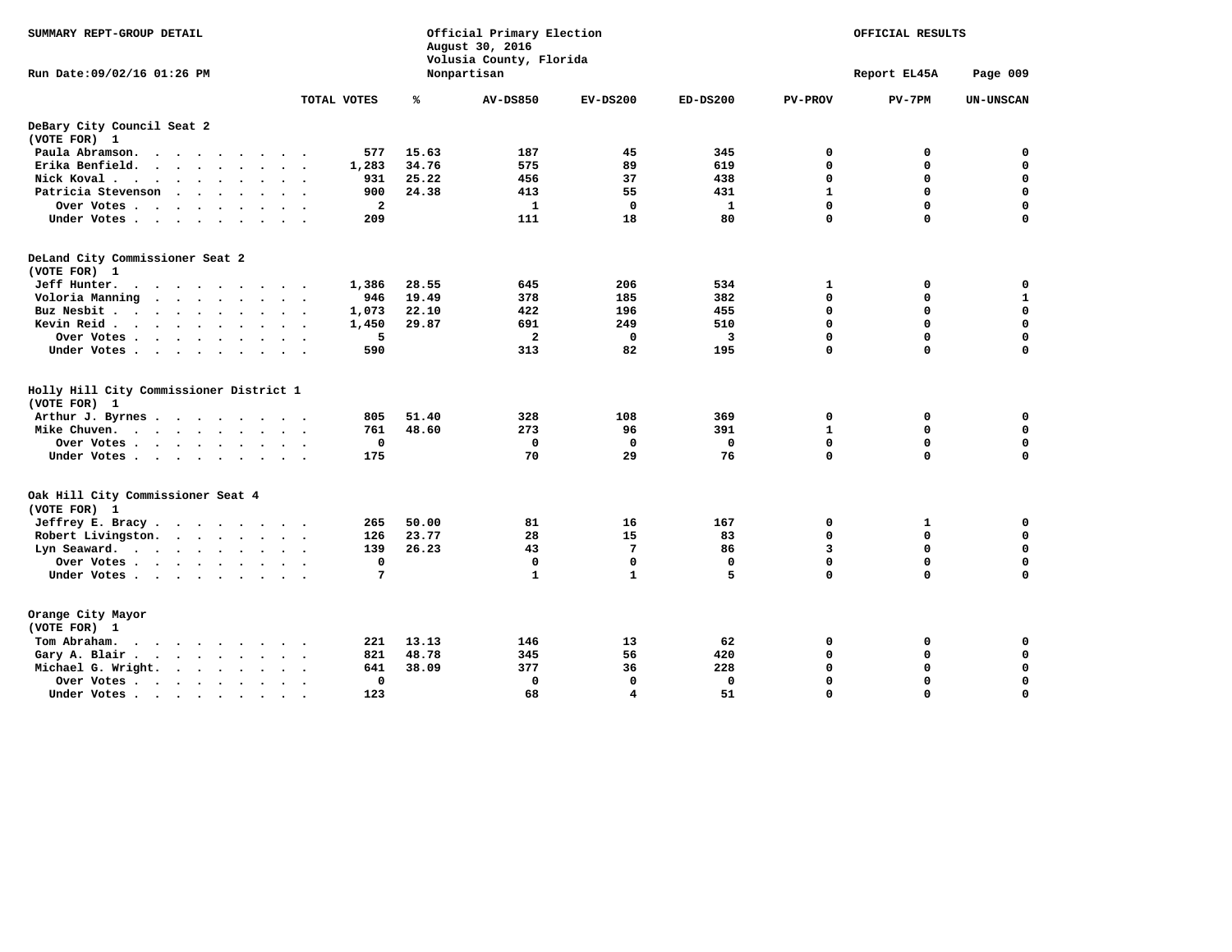| SUMMARY REPT-GROUP DETAIL                                                                                        |                         |       | Official Primary Election<br>August 30, 2016<br>Volusia County, Florida |                 | OFFICIAL RESULTS |                |              |                  |
|------------------------------------------------------------------------------------------------------------------|-------------------------|-------|-------------------------------------------------------------------------|-----------------|------------------|----------------|--------------|------------------|
| Run Date: 09/02/16 01:26 PM                                                                                      |                         |       | Nonpartisan                                                             |                 |                  |                | Report EL45A | Page 009         |
|                                                                                                                  | TOTAL VOTES             | ℁     | <b>AV-DS850</b>                                                         | $EV-DS200$      | $ED-DS200$       | <b>PV-PROV</b> | $PV-7PM$     | <b>UN-UNSCAN</b> |
| DeBary City Council Seat 2                                                                                       |                         |       |                                                                         |                 |                  |                |              |                  |
| (VOTE FOR) 1                                                                                                     |                         |       |                                                                         |                 |                  |                |              |                  |
| Paula Abramson.<br>$\sim$ $\sim$ $\sim$ $\sim$ $\sim$                                                            | 577                     | 15.63 | 187                                                                     | 45              | 345              | 0              | 0            | 0                |
| Erika Benfield.<br>$\sim$<br>$\sim$<br>$\cdot$                                                                   | 1,283                   | 34.76 | 575                                                                     | 89              | 619              | $\Omega$       | 0            | $\mathbf 0$      |
| Nick Koval.                                                                                                      | 931                     | 25.22 | 456                                                                     | 37              | 438              | $\mathbf 0$    | 0            | $\mathbf 0$      |
| Patricia Stevenson                                                                                               | 900                     | 24.38 | 413                                                                     | 55              | 431              | $\mathbf{1}$   | 0            | $\mathbf 0$      |
| Over Votes                                                                                                       | $\overline{\mathbf{2}}$ |       | $\mathbf{1}$                                                            | $\mathbf{0}$    | $\mathbf{1}$     | $\mathbf 0$    | 0            | $\mathbf 0$      |
| Under Votes                                                                                                      | 209                     |       | 111                                                                     | 18              | 80               | $\mathbf 0$    | $\mathbf 0$  | $\mathbf 0$      |
| DeLand City Commissioner Seat 2<br>(VOTE FOR) 1                                                                  |                         |       |                                                                         |                 |                  |                |              |                  |
| Jeff Hunter.<br>$\cdot$ $\cdot$ $\cdot$ $\cdot$ $\cdot$ $\cdot$ $\cdot$<br>$\sim$ $\sim$<br>$\ddot{\phantom{1}}$ | 1,386                   | 28.55 | 645                                                                     | 206             | 534              | 1              | 0            | 0                |
| Voloria Manning                                                                                                  | 946                     | 19.49 | 378                                                                     | 185             | 382              | $\Omega$       | 0            | $\mathbf{1}$     |
| Buz Nesbit                                                                                                       | 1,073                   | 22.10 | 422                                                                     | 196             | 455              | 0              | 0            | $\mathbf 0$      |
| Kevin Reid                                                                                                       | 1,450                   | 29.87 | 691                                                                     | 249             | 510              | $\mathbf 0$    | 0            | $\mathbf 0$      |
| Over Votes.<br>$\cdot$                                                                                           | 5                       |       | $\overline{a}$                                                          | 0               | 3                | $\Omega$       | 0            | $\mathbf 0$      |
| Under Votes                                                                                                      | 590                     |       | 313                                                                     | 82              | 195              | $\mathbf 0$    | 0            | $\mathbf 0$      |
| Holly Hill City Commissioner District 1<br>(VOTE FOR) 1                                                          |                         |       |                                                                         |                 |                  |                |              |                  |
| Arthur J. Byrnes                                                                                                 | 805                     | 51.40 | 328                                                                     | 108             | 369              | 0              | 0            | 0                |
| Mike Chuven.<br>$\sim$                                                                                           | 761                     | 48.60 | 273                                                                     | 96              | 391              | $\mathbf{1}$   | 0            | 0                |
| Over Votes<br>$\ddot{\phantom{1}}$                                                                               | 0                       |       | $\mathbf{o}$                                                            | 0               | $\Omega$         | $\mathbf 0$    | 0            | $\mathbf 0$      |
| Under Votes                                                                                                      | 175                     |       | 70                                                                      | 29              | 76               | $\mathbf 0$    | 0            | $\mathbf 0$      |
| Oak Hill City Commissioner Seat 4<br>(VOTE FOR) 1                                                                |                         |       |                                                                         |                 |                  |                |              |                  |
| Jeffrey E. Bracy.                                                                                                | 265                     | 50.00 | 81                                                                      | 16              | 167              | 0              | 1            | 0                |
| Robert Livingston.                                                                                               | 126                     | 23.77 | 28                                                                      | 15              | 83               | $\mathbf{0}$   | $\mathbf 0$  | $\mathbf 0$      |
| Lyn Seaward.                                                                                                     | 139                     | 26.23 | 43                                                                      | $7\phantom{.0}$ | 86               | 3              | 0            | $\mathbf 0$      |
| Over Votes<br>$\overline{\phantom{a}}$                                                                           | $\mathbf 0$             |       | $\mathbf 0$                                                             | $\mathbf 0$     | $\mathbf 0$      | $\mathbf 0$    | 0            | $\mathbf 0$      |
| Under Votes                                                                                                      | 7                       |       | $\mathbf{1}$                                                            | $\mathbf{1}$    | 5                | $\mathbf{0}$   | 0            | $\Omega$         |
| Orange City Mayor<br>(VOTE FOR) 1                                                                                |                         |       |                                                                         |                 |                  |                |              |                  |
| Tom Abraham.<br>$\cdots$<br>$\cdot$                                                                              | 221                     | 13.13 | 146                                                                     | 13              | 62               | 0              | 0            | 0                |
| Gary A. Blair.<br>$\cdots$                                                                                       | 821                     | 48.78 | 345                                                                     | 56              | 420              | $\mathbf 0$    | 0            | $\mathbf 0$      |
| Michael G. Wright.<br>$\sim$ $\sim$ $\sim$ $\sim$                                                                | 641                     | 38.09 | 377                                                                     | 36              | 228              | 0              | 0            | 0                |
| Over Votes.<br>$\cdots$                                                                                          | 0                       |       | $\mathbf{0}$                                                            | $\mathbf 0$     | $\mathbf{0}$     | 0              | 0            | $\mathbf 0$      |
| Under Votes                                                                                                      | 123                     |       | 68                                                                      | 4               | 51               | $\Omega$       | 0            | $\mathbf 0$      |